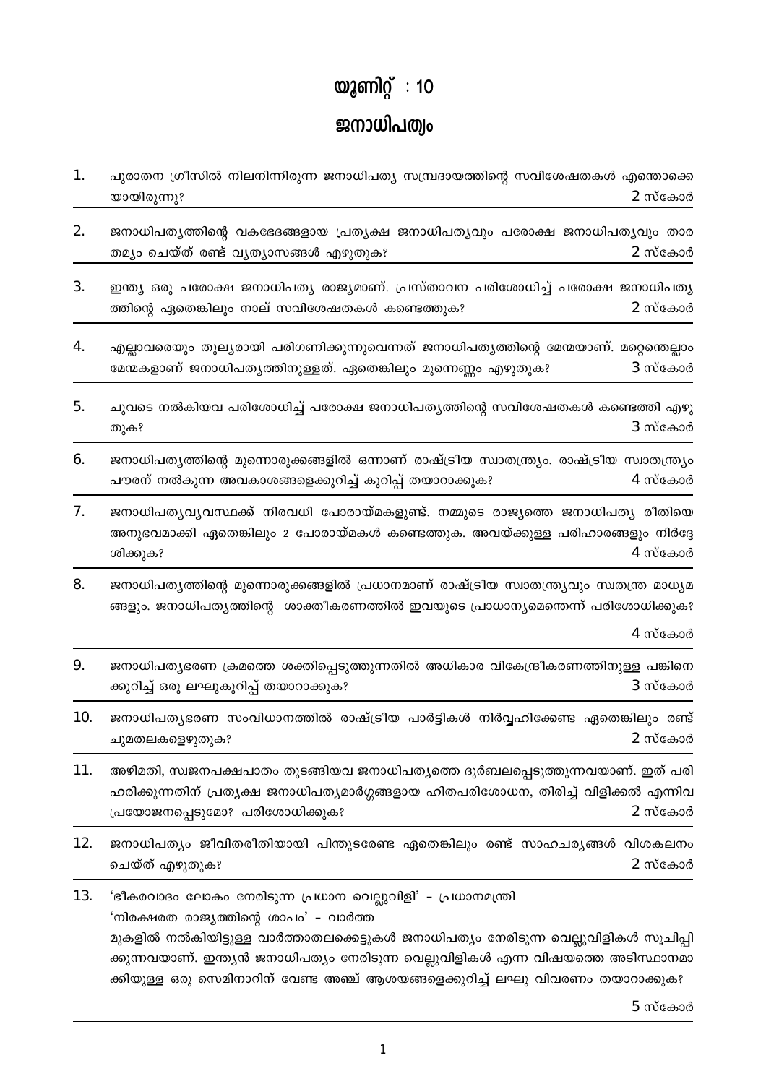## യൂണിറ്റ് : 10 ജനാധിപത്രം

1. പുരാതന ഗ്രീസിൽ നിലനിന്നിരുന്ന ജനാധിപത്യ സമ്പ്രദായത്തിന്റെ സവിശേഷതകൾ എന്തൊക്കെ 2 സ്കോർ യായിരുന്നു?

2. ജനാധിപത്യത്തിന്റെ വകഭേദങ്ങളായ പ്രത്യക്ഷ ജനാധിപത്യവും പരോക്ഷ ജനാധിപത്യവും താര തമ്യം ചെയ്ത് രണ്ട് വ്യത്യാസങ്ങൾ എഴുതുക? 2 സ്കോർ

 $3<sub>1</sub>$ ഇന്ത്യ ഒരു പരോക്ഷ ജനാധിപത്യ രാജ്യമാണ്. പ്രസ്താവന പരിശോധിച്ച് പരോക്ഷ ജനാധിപത്യ ത്തിന്റെ ഏതെങ്കിലും നാല് സവിശേഷതകൾ കണ്ടെത്തുക? 2 സ്കോർ

 $\overline{4}$ . എല്ലാവരെയും തുല്യരായി പരിഗണിക്കുന്നുവെന്നത് ജനാധിപത്യത്തിന്റെ മേന്മയാണ്. മറ്റെഞല്ലാം മേന്മകളാണ് ജനാധിപത്യത്തിനുള്ളത്. ഏതെങ്കിലും മൂന്നെണ്ണം എഴുതുക? 3 സ്കോർ

 $5<sub>1</sub>$ ചുവടെ നൽകിയവ പരിശോധിച്ച് പരോക്ഷ ജനാധിപത്യത്തിന്റെ സവിശേഷതകൾ കണ്ടെത്തി എഴു 3 സ്കോർ തുക?

 $6.$ ജനാധിപത്യത്തിന്റെ മുന്നൊരുക്കങ്ങളിൽ ഒന്നാണ് രാഷ്ട്രീയ സ്വാതന്ത്ര്യം. രാഷ്ട്രീയ സ്വാതന്ത്ര്യം പൗരന് നൽകുന്ന അവകാശങ്ങളെക്കുറിച്ച് കുറിപ്പ് തയാറാക്കുക? 4 സ്കോർ

7. ജനാധിപത്യവ്യവസ്ഥക്ക് നിരവധി പോരായ്മകളുണ്ട്. നമ്മുടെ രാജ്യത്തെ ജനാധിപത്യ രീതിയെ അനുഭവമാക്കി ഏതെങ്കിലും 2 പോരായ്മകൾ കണ്ടെത്തുക. അവയ്ക്കുള്ള പരിഹാരങ്ങളും നിർദ്ദേ  $4$  സ്കോർ ശിക്കുക?

8. ജനാധിപത്യത്തിന്റെ മുന്നൊരുക്കങ്ങളിൽ പ്രധാനമാണ് രാഷ്ട്രീയ സ്വാതന്ത്ര്യവും സ്വതന്ത്ര മാധ്യമ ങ്ങളും. ജനാധിപത്യത്തിന്റെ ശാക്തീകരണത്തിൽ ഇവയുടെ പ്രാധാന്യമെന്തെന്ന് പരിശോധിക്കുക?

4 സ്കോർ

ജനാധിപത്യഭരണ ക്രമത്തെ ശക്തിപ്പെടുത്തുന്നതിൽ അധികാര വികേന്ദ്രീകരണത്തിനുള്ള പങ്കിനെ 9. ക്കുറിച്ച് ഒരു ലഘുകുറിപ്പ് തയാറാക്കുക?  $3$  സ്കോർ

10. ജനാധിപത്യഭരണ സംവിധാനത്തിൽ രാഷ്ട്രീയ പാർട്ടികൾ നിർവ്വഹിക്കേണ്ട ഏതെങ്കിലും രണ്ട്  $2$  സ്കോർ ചുമതലകളെഴുതുക?

11. അഴിമതി, സ്വജനപക്ഷപാതം തുടങ്ങിയവ ജനാധിപത്യത്തെ ദുർബലപ്പെടുത്തുന്നവയാണ്. ഇത് പരി ഹരിക്കുന്നതിന് പ്രത്യക്ഷ ജനാധിപത്യമാർഗ്ഗങ്ങളായ ഹിതപരിശോധന, തിരിച്ച് വിളിക്കൽ എന്നിവ 2 സ്കോർ പ്രയോജനപ്പെടുമോ? പരിശോധിക്കുക?

 $12.$ ജനാധിപത്യം ജീവിതരീതിയായി പിന്തുടരേണ്ട ഏതെങ്കിലും രണ്ട് സാഹചര്യങ്ങൾ വിശകലനം ചെയ്ത് എഴുതുക? 2 സ്കോർ

13. 'ഭീകരവാദം ലോകം നേരിടുന്ന പ്രധാന വെല്ലുവിളി' – പ്രധാനമന്ത്രി 'നിരക്ഷരത രാജ്യത്തിന്റെ ശാപം' – വാർത്ത മുകളിൽ നൽകിയിട്ടുള്ള വാർത്താതലക്കെട്ടുകൾ ജനാധിപത്യം നേരിടുന്ന വെല്ലുവിളികൾ സുചിപ്പി ക്കുന്നവയാണ്. ഇന്ത്യൻ ജനാധിപത്യം നേരിടുന്ന വെല്ലുവിളികൾ എന്ന വിഷയത്തെ അടിസ്ഥാനമാ ക്കിയുള്ള ഒരു സെമിനാറിന് വേണ്ട അഞ്ച് ആശയങ്ങളെക്കുറിച്ച് ലഘു വിവരണം തയാറാക്കുക?

 $5$  സ്കോർ